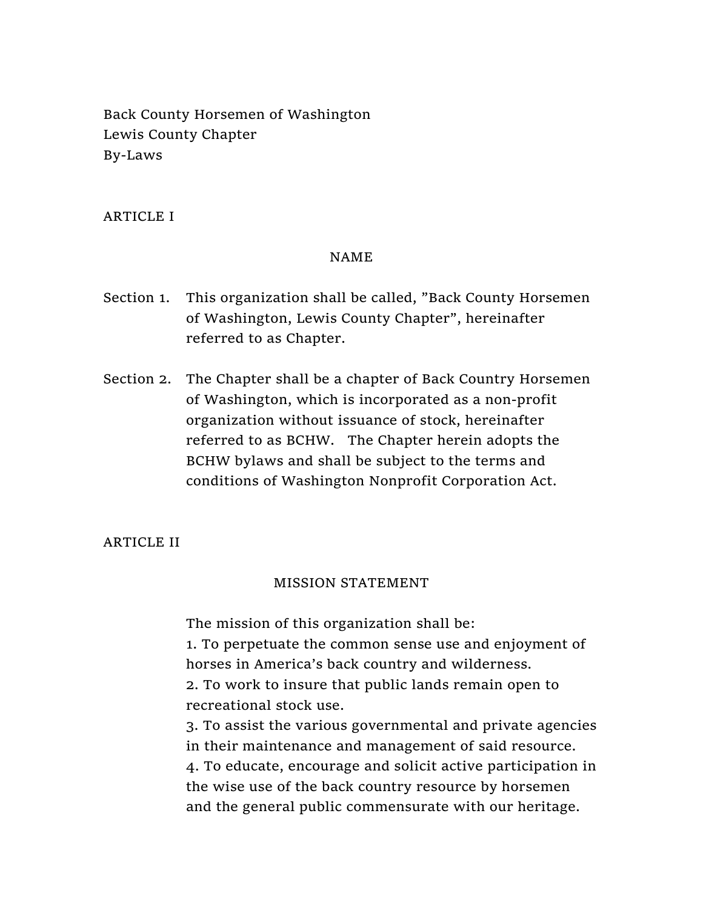Back County Horsemen of Washington Lewis County Chapter By-Laws

# ARTICLE I

### NAME

- Section 1. This organization shall be called, "Back County Horsemen of Washington, Lewis County Chapter", hereinafter referred to as Chapter.
- Section 2. The Chapter shall be a chapter of Back Country Horsemen of Washington, which is incorporated as a non-profit organization without issuance of stock, hereinafter referred to as BCHW. The Chapter herein adopts the BCHW bylaws and shall be subject to the terms and conditions of Washington Nonprofit Corporation Act.

### ARTICLE II

### MISSION STATEMENT

The mission of this organization shall be:

1. To perpetuate the common sense use and enjoyment of horses in America's back country and wilderness.

2. To work to insure that public lands remain open to recreational stock use.

3. To assist the various governmental and private agencies in their maintenance and management of said resource. 4. To educate, encourage and solicit active participation in the wise use of the back country resource by horsemen and the general public commensurate with our heritage.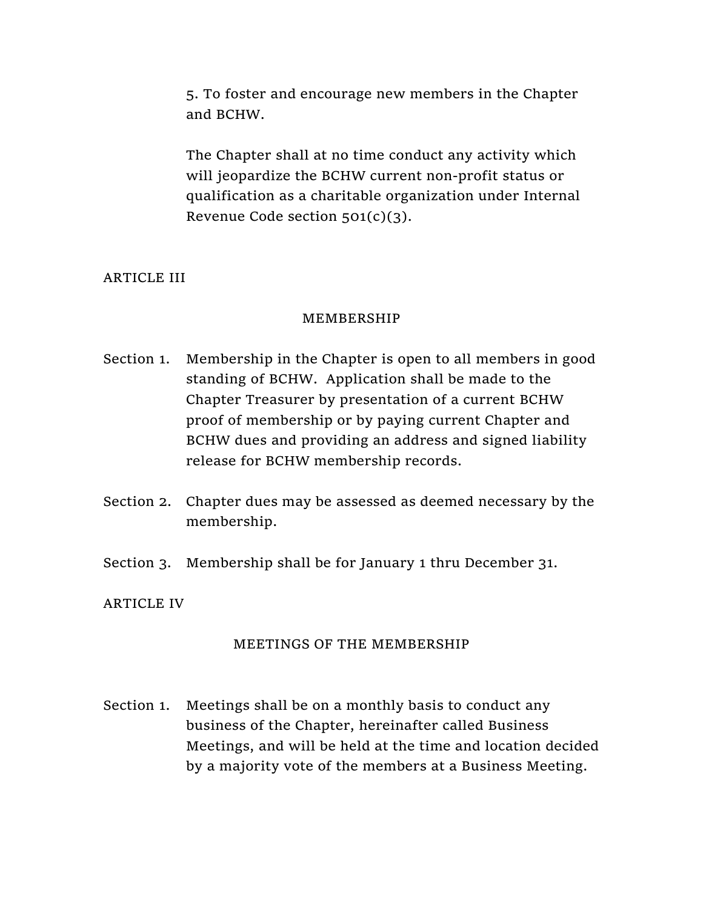5. To foster and encourage new members in the Chapter and BCHW.

The Chapter shall at no time conduct any activity which will jeopardize the BCHW current non-profit status or qualification as a charitable organization under Internal Revenue Code section 501(c)(3).

# ARTICLE III

#### MEMBERSHIP

- Section 1. Membership in the Chapter is open to all members in good standing of BCHW. Application shall be made to the Chapter Treasurer by presentation of a current BCHW proof of membership or by paying current Chapter and BCHW dues and providing an address and signed liability release for BCHW membership records.
- Section 2. Chapter dues may be assessed as deemed necessary by the membership.
- Section 3. Membership shall be for January 1 thru December 31.

### ARTICLE IV

### MEETINGS OF THE MEMBERSHIP

Section 1. Meetings shall be on a monthly basis to conduct any business of the Chapter, hereinafter called Business Meetings, and will be held at the time and location decided by a majority vote of the members at a Business Meeting.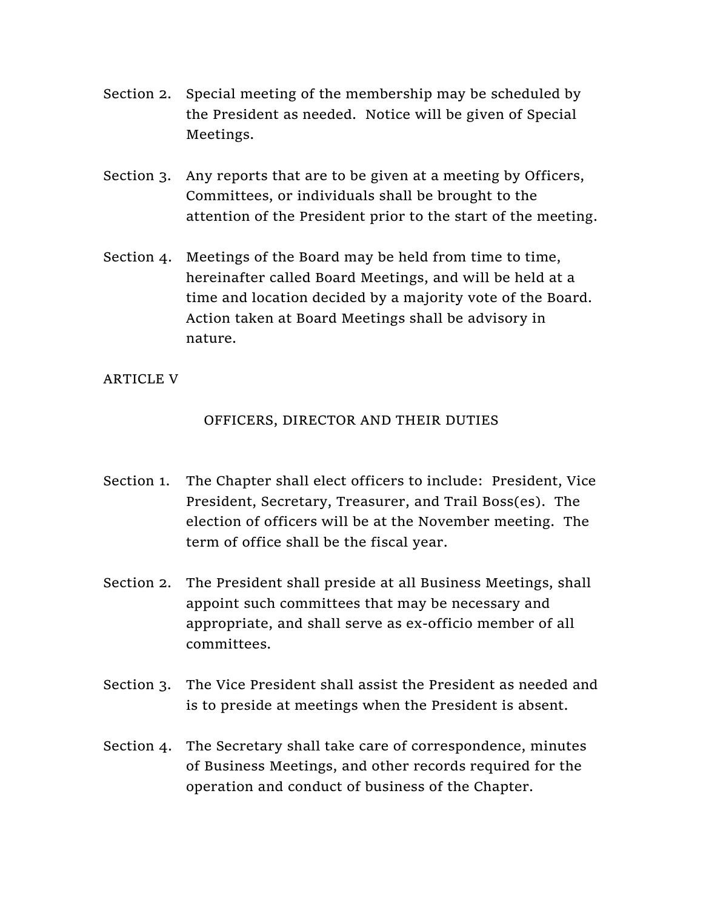- Section 2. Special meeting of the membership may be scheduled by the President as needed. Notice will be given of Special Meetings.
- Section 3. Any reports that are to be given at a meeting by Officers, Committees, or individuals shall be brought to the attention of the President prior to the start of the meeting.
- Section 4. Meetings of the Board may be held from time to time, hereinafter called Board Meetings, and will be held at a time and location decided by a majority vote of the Board. Action taken at Board Meetings shall be advisory in nature.

# ARTICLE V

# OFFICERS, DIRECTOR AND THEIR DUTIES

- Section 1. The Chapter shall elect officers to include: President, Vice President, Secretary, Treasurer, and Trail Boss(es). The election of officers will be at the November meeting. The term of office shall be the fiscal year.
- Section 2. The President shall preside at all Business Meetings, shall appoint such committees that may be necessary and appropriate, and shall serve as ex-officio member of all committees.
- Section 3. The Vice President shall assist the President as needed and is to preside at meetings when the President is absent.
- Section 4. The Secretary shall take care of correspondence, minutes of Business Meetings, and other records required for the operation and conduct of business of the Chapter.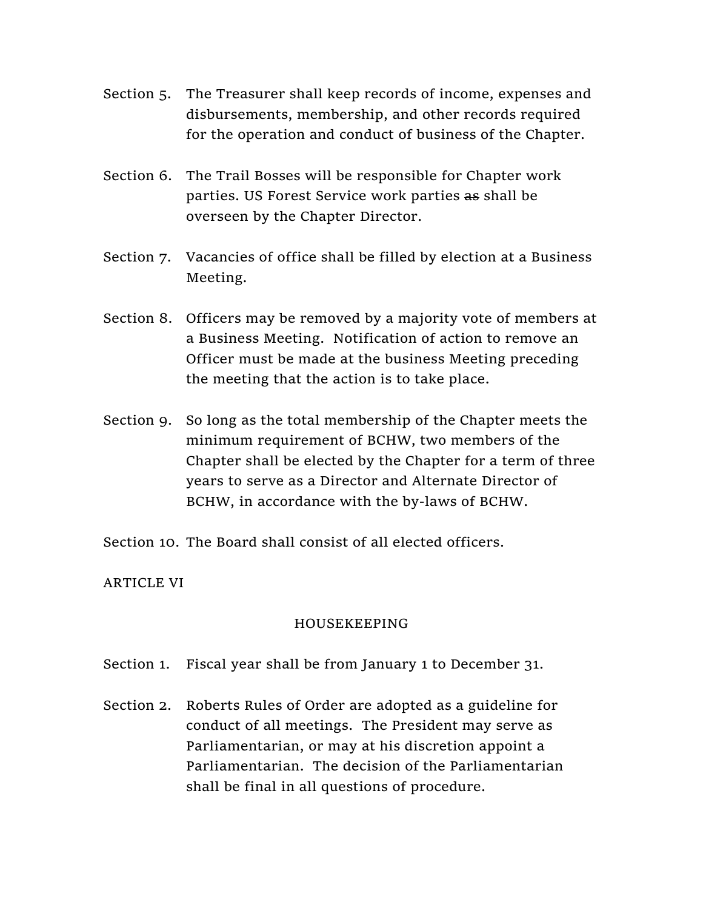- Section 5. The Treasurer shall keep records of income, expenses and disbursements, membership, and other records required for the operation and conduct of business of the Chapter.
- Section 6. The Trail Bosses will be responsible for Chapter work parties. US Forest Service work parties as shall be overseen by the Chapter Director.
- Section 7. Vacancies of office shall be filled by election at a Business Meeting.
- Section 8. Officers may be removed by a majority vote of members at a Business Meeting. Notification of action to remove an Officer must be made at the business Meeting preceding the meeting that the action is to take place.
- Section 9. So long as the total membership of the Chapter meets the minimum requirement of BCHW, two members of the Chapter shall be elected by the Chapter for a term of three years to serve as a Director and Alternate Director of BCHW, in accordance with the by-laws of BCHW.

Section 10. The Board shall consist of all elected officers.

ARTICLE VI

# HOUSEKEEPING

- Section 1. Fiscal year shall be from January 1 to December 31.
- Section 2. Roberts Rules of Order are adopted as a guideline for conduct of all meetings. The President may serve as Parliamentarian, or may at his discretion appoint a Parliamentarian. The decision of the Parliamentarian shall be final in all questions of procedure.